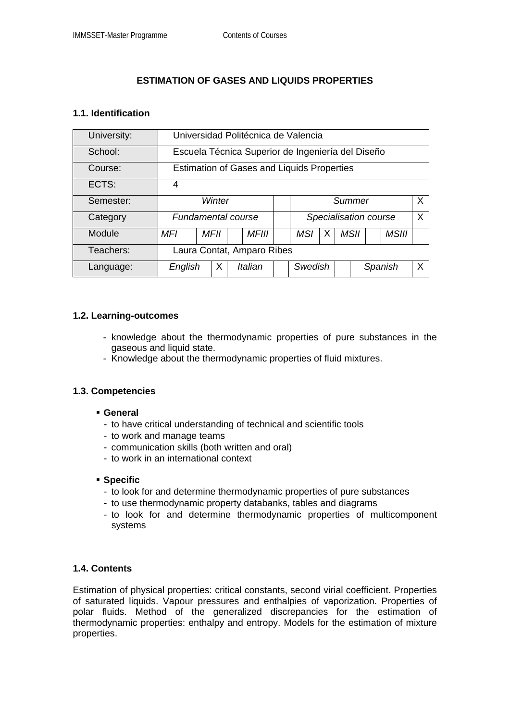# **ESTIMATION OF GASES AND LIQUIDS PROPERTIES**

### **1.1. Identification**

| University: | Universidad Politécnica de Valencia               |  |             |  |              |  |                       |   |  |      |         |              |              |
|-------------|---------------------------------------------------|--|-------------|--|--------------|--|-----------------------|---|--|------|---------|--------------|--------------|
| School:     | Escuela Técnica Superior de Ingeniería del Diseño |  |             |  |              |  |                       |   |  |      |         |              |              |
| Course:     | <b>Estimation of Gases and Liquids Properties</b> |  |             |  |              |  |                       |   |  |      |         |              |              |
| ECTS:       | 4                                                 |  |             |  |              |  |                       |   |  |      |         |              |              |
| Semester:   | Winter                                            |  |             |  |              |  | Summer                |   |  |      |         |              | $\mathsf{X}$ |
| Category    | <b>Fundamental course</b>                         |  |             |  |              |  | Specialisation course |   |  |      |         |              | X            |
| Module      | MFI                                               |  | <b>MFII</b> |  | <b>MFIII</b> |  | <b>MSI</b>            | х |  | MSII |         | <b>MSIII</b> |              |
| Teachers:   | Laura Contat, Amparo Ribes                        |  |             |  |              |  |                       |   |  |      |         |              |              |
| Language:   | English                                           |  | Х           |  | Italian      |  | Swedish               |   |  |      | Spanish |              | X            |

### **1.2. Learning-outcomes**

- knowledge about the thermodynamic properties of pure substances in the gaseous and liquid state.
- Knowledge about the thermodynamic properties of fluid mixtures.

## **1.3. Competencies**

- **General** 
	- to have critical understanding of technical and scientific tools
	- to work and manage teams
	- communication skills (both written and oral)
	- to work in an international context

#### **Specific**

- to look for and determine thermodynamic properties of pure substances
- to use thermodynamic property databanks, tables and diagrams
- to look for and determine thermodynamic properties of multicomponent systems

## **1.4. Contents**

Estimation of physical properties: critical constants, second virial coefficient. Properties of saturated liquids. Vapour pressures and enthalpies of vaporization. Properties of polar fluids. Method of the generalized discrepancies for the estimation of thermodynamic properties: enthalpy and entropy. Models for the estimation of mixture properties.